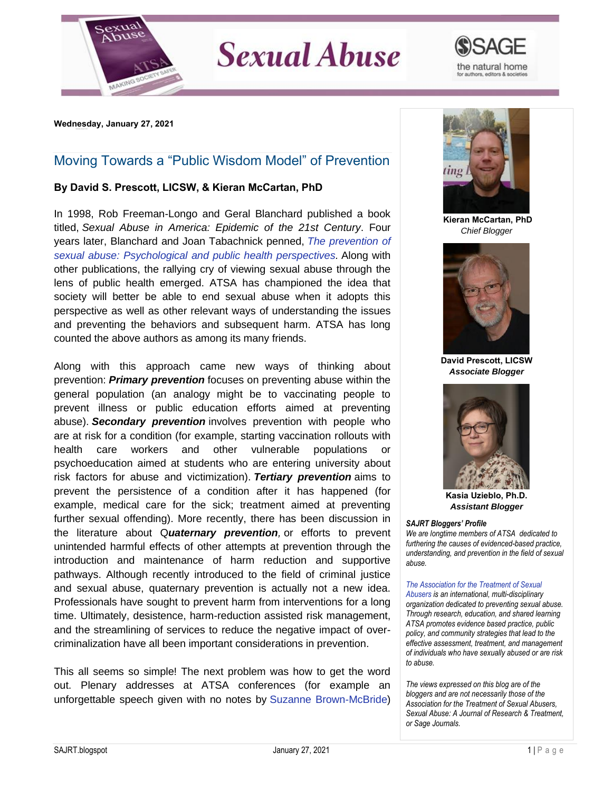

## **Sexual Abuse**



**Wednesday, January 27, 2021** 

## Moving Towards a "Public Wisdom Model" of Prevention

## **By David S. Prescott, LICSW, & Kieran McCartan, PhD**

In 1998, Rob Freeman-Longo and Geral Blanchard published a book titled, *Sexual Abuse in America: Epidemic of the 21st Century*. Four years later, Blanchard and Joan Tabachnick penned, *[The prevention of](https://psycnet.apa.org/record/2002-12947-001)  [sexual abuse: Psychological and public health perspectives.](https://psycnet.apa.org/record/2002-12947-001)* Along with other publications, the rallying cry of viewing sexual abuse through the lens of public health emerged. ATSA has championed the idea that society will better be able to end sexual abuse when it adopts this perspective as well as other relevant ways of understanding the issues and preventing the behaviors and subsequent harm. ATSA has long counted the above authors as among its many friends.

Along with this approach came new ways of thinking about prevention: *Primary prevention* focuses on preventing abuse within the general population (an analogy might be to vaccinating people to prevent illness or public education efforts aimed at preventing abuse). *Secondary prevention* involves prevention with people who are at risk for a condition (for example, starting vaccination rollouts with health care workers and other vulnerable populations or psychoeducation aimed at students who are entering university about risk factors for abuse and victimization). *Tertiary prevention* aims to prevent the persistence of a condition after it has happened (for example, medical care for the sick; treatment aimed at preventing further sexual offending). More recently, there has been discussion in the literature about Q*uaternary prevention,* or efforts to prevent unintended harmful effects of other attempts at prevention through the introduction and maintenance of harm reduction and supportive pathways. Although recently introduced to the field of criminal justice and sexual abuse, quaternary prevention is actually not a new idea. Professionals have sought to prevent harm from interventions for a long time. Ultimately, desistence, harm-reduction assisted risk management, and the streamlining of services to reduce the negative impact of overcriminalization have all been important considerations in prevention.

This all seems so simple! The next problem was how to get the word out. Plenary addresses at ATSA conferences (for example an unforgettable speech given with no notes by [Suzanne Brown-McBride\)](https://www.ourwave.org/team/suzanne-brown-mcbride)



**Kieran McCartan, PhD** *Chief Blogger*



**David Prescott, LICSW** *Associate Blogger*



**Kasia Uzieblo, Ph.D.** *Assistant Blogger*

## *SAJRT Bloggers' Profile*

*We are longtime members of ATSA dedicated to furthering the causes of evidenced-based practice, understanding, and prevention in the field of sexual abuse.*

*[The Association for the Treatment of Sexual](http://atsa.com/)  [Abusers](http://atsa.com/) is an international, multi-disciplinary organization dedicated to preventing sexual abuse. Through research, education, and shared learning ATSA promotes evidence based practice, public policy, and community strategies that lead to the effective assessment, treatment, and management of individuals who have sexually abused or are risk to abuse.* 

*The views expressed on this blog are of the bloggers and are not necessarily those of the Association for the Treatment of Sexual Abusers, Sexual Abuse: A Journal of Research & Treatment, or Sage Journals.*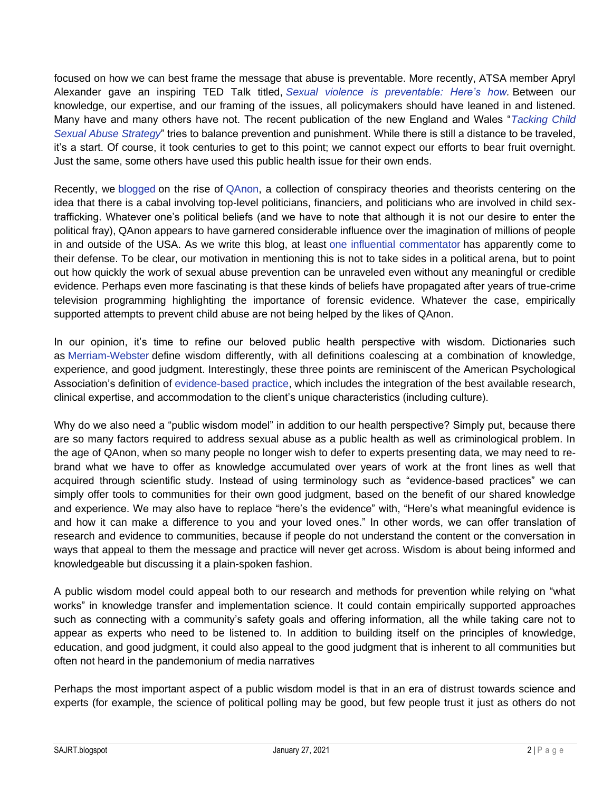focused on how we can best frame the message that abuse is preventable. More recently, ATSA member Apryl Alexander gave an inspiring TED Talk titled, *[Sexual violence is preventable: Here's how.](https://www.youtube.com/watch?v=Rss0PcHftrA)* Between our knowledge, our expertise, and our framing of the issues, all policymakers should have leaned in and listened. Many have and many others have not. The recent publication of the new England and Wales "*[Tacking Child](https://www.gov.uk/government/publications/tackling-child-sexual-abuse-strategy)  [Sexual Abuse Strategy](https://www.gov.uk/government/publications/tackling-child-sexual-abuse-strategy)*" tries to balance prevention and punishment. While there is still a distance to be traveled, it's a start. Of course, it took centuries to get to this point; we cannot expect our efforts to bear fruit overnight. Just the same, some others have used this public health issue for their own ends.

Recently, we [blogged](https://blog.atsa.com/2020/12/qanon-and-hard-work-of-preventing.html) on the rise of [QAnon,](https://www.nytimes.com/article/what-is-qanon.html) a collection of conspiracy theories and theorists centering on the idea that there is a cabal involving top-level politicians, financiers, and politicians who are involved in child sextrafficking. Whatever one's political beliefs (and we have to note that although it is not our desire to enter the political fray), QAnon appears to have garnered considerable influence over the imagination of millions of people in and outside of the USA. As we write this blog, at least [one influential commentator](https://www.businessinsider.com/fox-news-tucker-carlson-defends-qanon-conspiracy-theory-movement-2021-1) has apparently come to their defense. To be clear, our motivation in mentioning this is not to take sides in a political arena, but to point out how quickly the work of sexual abuse prevention can be unraveled even without any meaningful or credible evidence. Perhaps even more fascinating is that these kinds of beliefs have propagated after years of true-crime television programming highlighting the importance of forensic evidence. Whatever the case, empirically supported attempts to prevent child abuse are not being helped by the likes of QAnon.

In our opinion, it's time to refine our beloved public health perspective with wisdom. Dictionaries such as [Merriam-Webster](https://www.merriam-webster.com/dictionary/wisdom) define wisdom differently, with all definitions coalescing at a combination of knowledge, experience, and good judgment. Interestingly, these three points are reminiscent of the American Psychological Association's definition of [evidence-based practice,](https://www.apa.org/practice/resources/evidence) which includes the integration of the best available research, clinical expertise, and accommodation to the client's unique characteristics (including culture).

Why do we also need a "public wisdom model" in addition to our health perspective? Simply put, because there are so many factors required to address sexual abuse as a public health as well as criminological problem. In the age of QAnon, when so many people no longer wish to defer to experts presenting data, we may need to rebrand what we have to offer as knowledge accumulated over years of work at the front lines as well that acquired through scientific study. Instead of using terminology such as "evidence-based practices" we can simply offer tools to communities for their own good judgment, based on the benefit of our shared knowledge and experience. We may also have to replace "here's the evidence" with, "Here's what meaningful evidence is and how it can make a difference to you and your loved ones." In other words, we can offer translation of research and evidence to communities, because if people do not understand the content or the conversation in ways that appeal to them the message and practice will never get across. Wisdom is about being informed and knowledgeable but discussing it a plain-spoken fashion.

A public wisdom model could appeal both to our research and methods for prevention while relying on "what works" in knowledge transfer and implementation science. It could contain empirically supported approaches such as connecting with a community's safety goals and offering information, all the while taking care not to appear as experts who need to be listened to. In addition to building itself on the principles of knowledge, education, and good judgment, it could also appeal to the good judgment that is inherent to all communities but often not heard in the pandemonium of media narratives

Perhaps the most important aspect of a public wisdom model is that in an era of distrust towards science and experts (for example, the science of political polling may be good, but few people trust it just as others do not